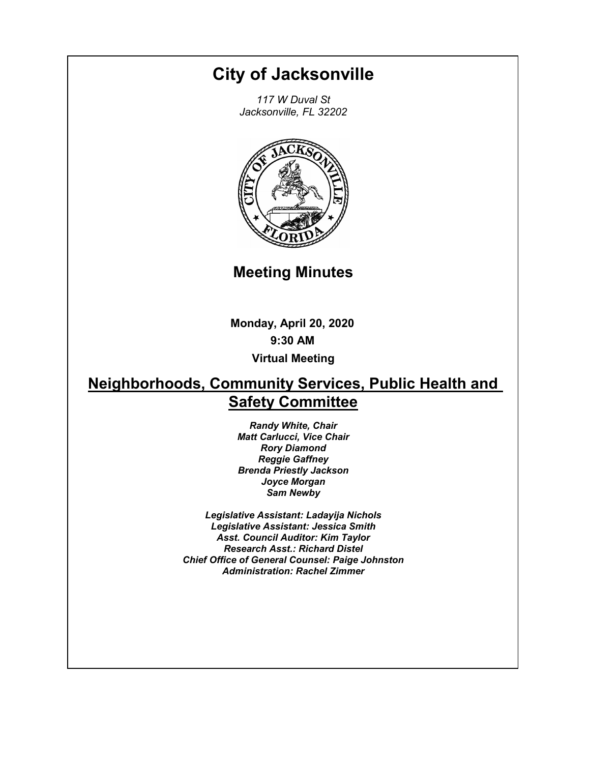# **City of Jacksonville**

*117 W Duval St Jacksonville, FL 32202*



**Meeting Minutes**

**Monday, April 20, 2020 9:30 AM Virtual Meeting**

# **Neighborhoods, Community Services, Public Health and Safety Committee**

*Randy White, Chair Matt Carlucci, Vice Chair Rory Diamond Reggie Gaffney Brenda Priestly Jackson Joyce Morgan Sam Newby*

*Legislative Assistant: Ladayija Nichols Legislative Assistant: Jessica Smith Asst. Council Auditor: Kim Taylor Research Asst.: Richard Distel Chief Office of General Counsel: Paige Johnston Administration: Rachel Zimmer*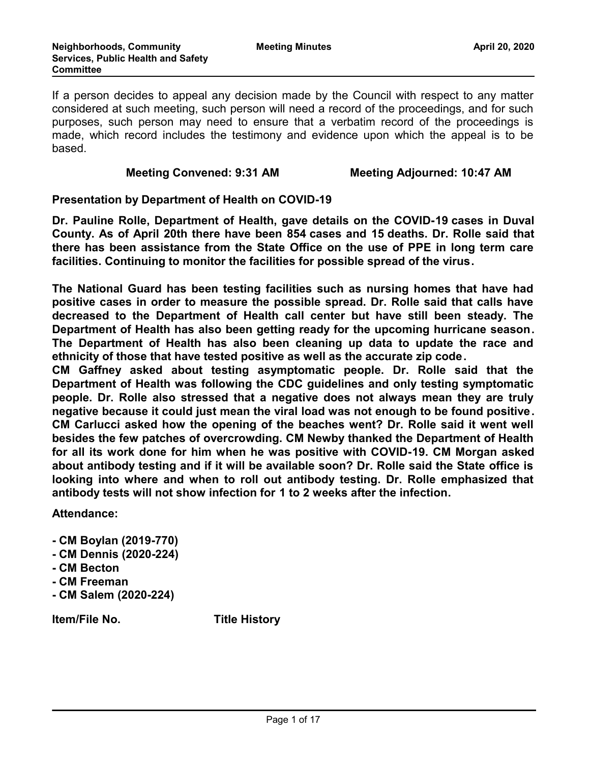If a person decides to appeal any decision made by the Council with respect to any matter considered at such meeting, such person will need a record of the proceedings, and for such purposes, such person may need to ensure that a verbatim record of the proceedings is made, which record includes the testimony and evidence upon which the appeal is to be based.

#### **Meeting Convened: 9:31 AM Meeting Adjourned: 10:47 AM**

#### **Presentation by Department of Health on COVID-19**

**Dr. Pauline Rolle, Department of Health, gave details on the COVID-19 cases in Duval County. As of April 20th there have been 854 cases and 15 deaths. Dr. Rolle said that there has been assistance from the State Office on the use of PPE in long term care facilities. Continuing to monitor the facilities for possible spread of the virus.** 

**The National Guard has been testing facilities such as nursing homes that have had positive cases in order to measure the possible spread. Dr. Rolle said that calls have decreased to the Department of Health call center but have still been steady. The Department of Health has also been getting ready for the upcoming hurricane season. The Department of Health has also been cleaning up data to update the race and ethnicity of those that have tested positive as well as the accurate zip code.** 

**CM Gaffney asked about testing asymptomatic people. Dr. Rolle said that the Department of Health was following the CDC guidelines and only testing symptomatic people. Dr. Rolle also stressed that a negative does not always mean they are truly negative because it could just mean the viral load was not enough to be found positive. CM Carlucci asked how the opening of the beaches went? Dr. Rolle said it went well besides the few patches of overcrowding. CM Newby thanked the Department of Health for all its work done for him when he was positive with COVID-19. CM Morgan asked about antibody testing and if it will be available soon? Dr. Rolle said the State office is looking into where and when to roll out antibody testing. Dr. Rolle emphasized that antibody tests will not show infection for 1 to 2 weeks after the infection.**

**Attendance:**

- **CM Boylan (2019-770)**
- **CM Dennis (2020-224)**
- **CM Becton**
- **CM Freeman**
- **CM Salem (2020-224)**

**Item/File No. Title History**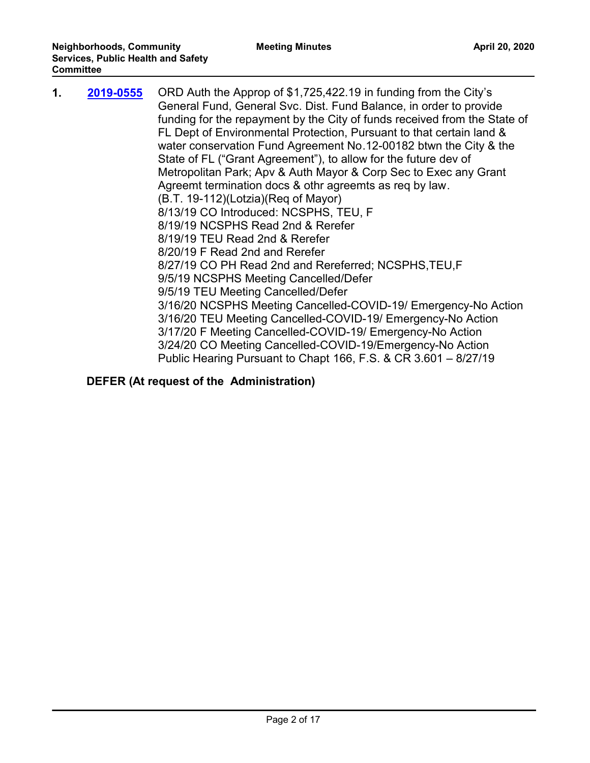| 1. | 2019-0555 | ORD Auth the Approp of \$1,725,422.19 in funding from the City's<br>General Fund, General Svc. Dist. Fund Balance, in order to provide<br>funding for the repayment by the City of funds received from the State of<br>FL Dept of Environmental Protection, Pursuant to that certain land &<br>water conservation Fund Agreement No.12-00182 btwn the City & the<br>State of FL ("Grant Agreement"), to allow for the future dev of<br>Metropolitan Park; Apv & Auth Mayor & Corp Sec to Exec any Grant<br>Agreemt termination docs & othr agreemts as reg by law.<br>(B.T. 19-112)(Lotzia)(Req of Mayor)<br>8/13/19 CO Introduced: NCSPHS, TEU, F<br>8/19/19 NCSPHS Read 2nd & Rerefer |
|----|-----------|-----------------------------------------------------------------------------------------------------------------------------------------------------------------------------------------------------------------------------------------------------------------------------------------------------------------------------------------------------------------------------------------------------------------------------------------------------------------------------------------------------------------------------------------------------------------------------------------------------------------------------------------------------------------------------------------|
|    |           | 8/19/19 TEU Read 2nd & Rerefer                                                                                                                                                                                                                                                                                                                                                                                                                                                                                                                                                                                                                                                          |
|    |           | 8/20/19 F Read 2nd and Rerefer                                                                                                                                                                                                                                                                                                                                                                                                                                                                                                                                                                                                                                                          |
|    |           | 8/27/19 CO PH Read 2nd and Rereferred; NCSPHS, TEU, F                                                                                                                                                                                                                                                                                                                                                                                                                                                                                                                                                                                                                                   |
|    |           | 9/5/19 NCSPHS Meeting Cancelled/Defer<br>9/5/19 TEU Meeting Cancelled/Defer                                                                                                                                                                                                                                                                                                                                                                                                                                                                                                                                                                                                             |
|    |           | 3/16/20 NCSPHS Meeting Cancelled-COVID-19/ Emergency-No Action<br>3/16/20 TEU Meeting Cancelled-COVID-19/ Emergency-No Action<br>3/17/20 F Meeting Cancelled-COVID-19/ Emergency-No Action<br>3/24/20 CO Meeting Cancelled-COVID-19/Emergency-No Action<br>Public Hearing Pursuant to Chapt 166, F.S. & CR 3.601 - 8/27/19                                                                                                                                                                                                                                                                                                                                                              |
|    |           |                                                                                                                                                                                                                                                                                                                                                                                                                                                                                                                                                                                                                                                                                         |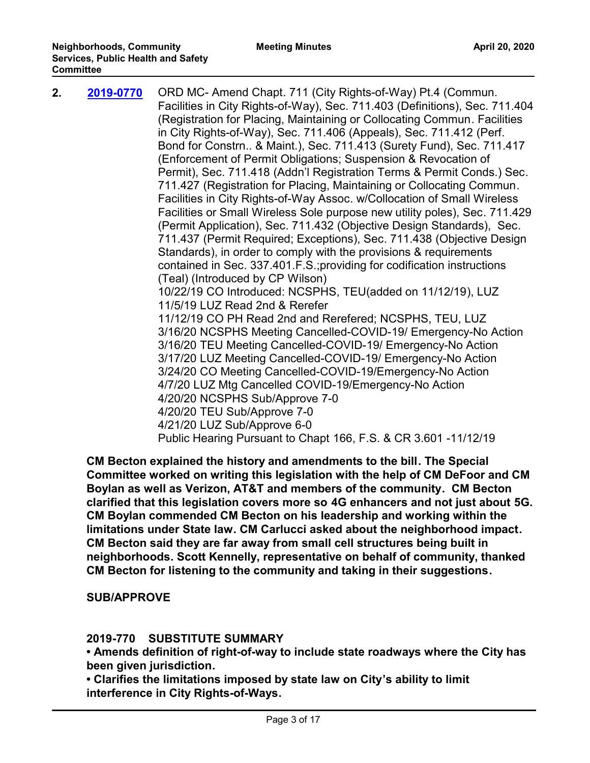| 2. | 2019-0770 | ORD MC- Amend Chapt. 711 (City Rights-of-Way) Pt.4 (Commun.<br>Facilities in City Rights-of-Way), Sec. 711.403 (Definitions), Sec. 711.404<br>(Registration for Placing, Maintaining or Collocating Commun. Facilities<br>in City Rights-of-Way), Sec. 711.406 (Appeals), Sec. 711.412 (Perf.<br>Bond for Constrn & Maint.), Sec. 711.413 (Surety Fund), Sec. 711.417<br>(Enforcement of Permit Obligations; Suspension & Revocation of<br>Permit), Sec. 711.418 (Addn'l Registration Terms & Permit Conds.) Sec.<br>711.427 (Registration for Placing, Maintaining or Collocating Commun.<br>Facilities in City Rights-of-Way Assoc. w/Collocation of Small Wireless<br>Facilities or Small Wireless Sole purpose new utility poles), Sec. 711.429<br>(Permit Application), Sec. 711.432 (Objective Design Standards), Sec.<br>711.437 (Permit Required; Exceptions), Sec. 711.438 (Objective Design<br>Standards), in order to comply with the provisions & requirements<br>contained in Sec. 337.401.F.S.; providing for codification instructions<br>(Teal) (Introduced by CP Wilson)<br>10/22/19 CO Introduced: NCSPHS, TEU(added on 11/12/19), LUZ<br>11/5/19 LUZ Read 2nd & Rerefer<br>11/12/19 CO PH Read 2nd and Rerefered; NCSPHS, TEU, LUZ<br>3/16/20 NCSPHS Meeting Cancelled-COVID-19/ Emergency-No Action<br>3/16/20 TEU Meeting Cancelled-COVID-19/ Emergency-No Action<br>3/17/20 LUZ Meeting Cancelled-COVID-19/ Emergency-No Action<br>3/24/20 CO Meeting Cancelled-COVID-19/Emergency-No Action<br>4/7/20 LUZ Mtg Cancelled COVID-19/Emergency-No Action<br>4/20/20 NCSPHS Sub/Approve 7-0<br>4/20/20 TEU Sub/Approve 7-0<br>4/21/20 LUZ Sub/Approve 6-0<br>Public Hearing Pursuant to Chapt 166, F.S. & CR 3.601 -11/12/19 |
|----|-----------|------------------------------------------------------------------------------------------------------------------------------------------------------------------------------------------------------------------------------------------------------------------------------------------------------------------------------------------------------------------------------------------------------------------------------------------------------------------------------------------------------------------------------------------------------------------------------------------------------------------------------------------------------------------------------------------------------------------------------------------------------------------------------------------------------------------------------------------------------------------------------------------------------------------------------------------------------------------------------------------------------------------------------------------------------------------------------------------------------------------------------------------------------------------------------------------------------------------------------------------------------------------------------------------------------------------------------------------------------------------------------------------------------------------------------------------------------------------------------------------------------------------------------------------------------------------------------------------------------------------------------------------------------------------------------------------------------------------------------------------------|
|    |           |                                                                                                                                                                                                                                                                                                                                                                                                                                                                                                                                                                                                                                                                                                                                                                                                                                                                                                                                                                                                                                                                                                                                                                                                                                                                                                                                                                                                                                                                                                                                                                                                                                                                                                                                                |

**CM Becton explained the history and amendments to the bill. The Special Committee worked on writing this legislation with the help of CM DeFoor and CM Boylan as well as Verizon, AT&T and members of the community. CM Becton clarified that this legislation covers more so 4G enhancers and not just about 5G. CM Boylan commended CM Becton on his leadership and working within the limitations under State law. CM Carlucci asked about the neighborhood impact. CM Becton said they are far away from small cell structures being built in neighborhoods. Scott Kennelly, representative on behalf of community, thanked CM Becton for listening to the community and taking in their suggestions.** 

**SUB/APPROVE**

#### **2019-770 SUBSTITUTE SUMMARY**

**• Amends definition of right-of-way to include state roadways where the City has been given jurisdiction.** 

**• Clarifies the limitations imposed by state law on City's ability to limit interference in City Rights-of-Ways.**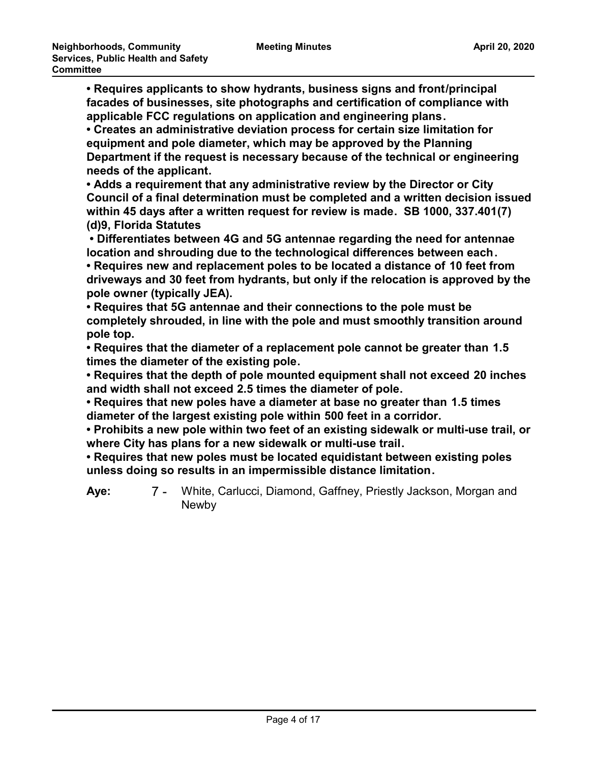**• Requires applicants to show hydrants, business signs and front/principal facades of businesses, site photographs and certification of compliance with applicable FCC regulations on application and engineering plans.**

**• Creates an administrative deviation process for certain size limitation for equipment and pole diameter, which may be approved by the Planning Department if the request is necessary because of the technical or engineering needs of the applicant.**

**• Adds a requirement that any administrative review by the Director or City Council of a final determination must be completed and a written decision issued within 45 days after a written request for review is made. SB 1000, 337.401(7) (d)9, Florida Statutes**

 **• Differentiates between 4G and 5G antennae regarding the need for antennae location and shrouding due to the technological differences between each.**

**• Requires new and replacement poles to be located a distance of 10 feet from driveways and 30 feet from hydrants, but only if the relocation is approved by the pole owner (typically JEA).**

**• Requires that 5G antennae and their connections to the pole must be completely shrouded, in line with the pole and must smoothly transition around pole top.**

**• Requires that the diameter of a replacement pole cannot be greater than 1.5 times the diameter of the existing pole.**

**• Requires that the depth of pole mounted equipment shall not exceed 20 inches and width shall not exceed 2.5 times the diameter of pole.** 

**• Requires that new poles have a diameter at base no greater than 1.5 times diameter of the largest existing pole within 500 feet in a corridor.**

**• Prohibits a new pole within two feet of an existing sidewalk or multi-use trail, or where City has plans for a new sidewalk or multi-use trail.**

**• Requires that new poles must be located equidistant between existing poles unless doing so results in an impermissible distance limitation.**

7 - White, Carlucci, Diamond, Gaffney, Priestly Jackson, Morgan and Newby **Aye:**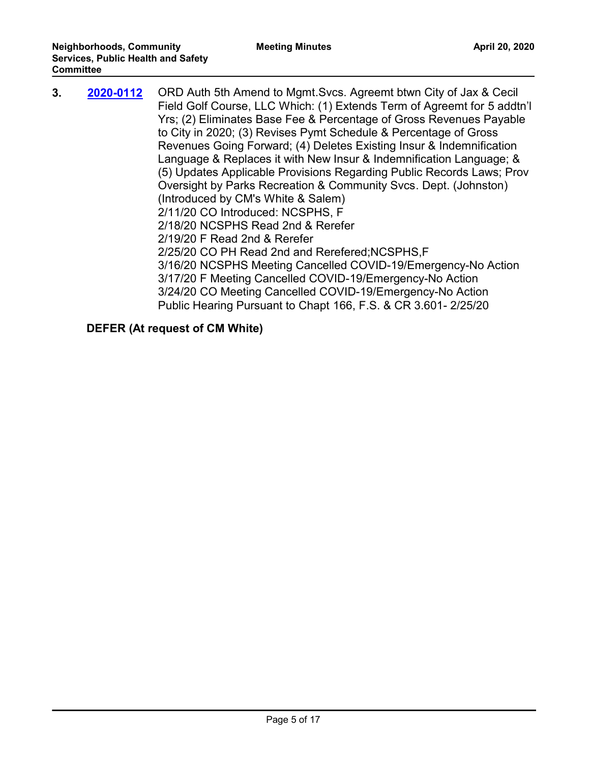| 3. | 2020-0112 | ORD Auth 5th Amend to Mgmt. Svcs. Agreemt btwn City of Jax & Cecil<br>Field Golf Course, LLC Which: (1) Extends Term of Agreemt for 5 addtn'l<br>Yrs; (2) Eliminates Base Fee & Percentage of Gross Revenues Payable<br>to City in 2020; (3) Revises Pymt Schedule & Percentage of Gross<br>Revenues Going Forward; (4) Deletes Existing Insur & Indemnification<br>Language & Replaces it with New Insur & Indemnification Language; &<br>(5) Updates Applicable Provisions Regarding Public Records Laws; Prov<br>Oversight by Parks Recreation & Community Svcs. Dept. (Johnston)<br>(Introduced by CM's White & Salem)<br>2/11/20 CO Introduced: NCSPHS, F<br>2/18/20 NCSPHS Read 2nd & Rerefer |
|----|-----------|-----------------------------------------------------------------------------------------------------------------------------------------------------------------------------------------------------------------------------------------------------------------------------------------------------------------------------------------------------------------------------------------------------------------------------------------------------------------------------------------------------------------------------------------------------------------------------------------------------------------------------------------------------------------------------------------------------|
|    |           | 2/19/20 F Read 2nd & Rerefer                                                                                                                                                                                                                                                                                                                                                                                                                                                                                                                                                                                                                                                                        |
|    |           | 2/25/20 CO PH Read 2nd and Rerefered; NCSPHS, F<br>3/16/20 NCSPHS Meeting Cancelled COVID-19/Emergency-No Action<br>3/17/20 F Meeting Cancelled COVID-19/Emergency-No Action<br>3/24/20 CO Meeting Cancelled COVID-19/Emergency-No Action<br>Public Hearing Pursuant to Chapt 166, F.S. & CR 3.601-2/25/20                                                                                                                                                                                                                                                                                                                                                                                          |

# **DEFER (At request of CM White)**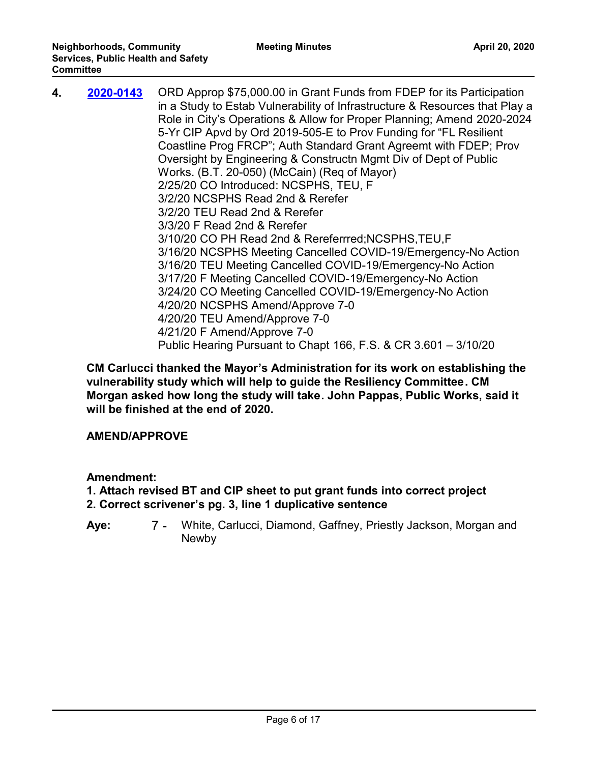| 4. | 2020-0143 | ORD Approp \$75,000.00 in Grant Funds from FDEP for its Participation<br>in a Study to Estab Vulnerability of Infrastructure & Resources that Play a<br>Role in City's Operations & Allow for Proper Planning; Amend 2020-2024<br>5-Yr CIP Apvd by Ord 2019-505-E to Prov Funding for "FL Resilient |
|----|-----------|-----------------------------------------------------------------------------------------------------------------------------------------------------------------------------------------------------------------------------------------------------------------------------------------------------|
|    |           | Coastline Prog FRCP"; Auth Standard Grant Agreemt with FDEP; Prov                                                                                                                                                                                                                                   |
|    |           | Oversight by Engineering & Constructn Mgmt Div of Dept of Public                                                                                                                                                                                                                                    |
|    |           | Works. (B.T. 20-050) (McCain) (Req of Mayor)                                                                                                                                                                                                                                                        |
|    |           | 2/25/20 CO Introduced: NCSPHS, TEU, F                                                                                                                                                                                                                                                               |
|    |           | 3/2/20 NCSPHS Read 2nd & Rerefer                                                                                                                                                                                                                                                                    |
|    |           | 3/2/20 TEU Read 2nd & Rerefer                                                                                                                                                                                                                                                                       |
|    |           | 3/3/20 F Read 2nd & Rerefer                                                                                                                                                                                                                                                                         |
|    |           | 3/10/20 CO PH Read 2nd & Rereferrred; NCSPHS, TEU, F                                                                                                                                                                                                                                                |
|    |           | 3/16/20 NCSPHS Meeting Cancelled COVID-19/Emergency-No Action                                                                                                                                                                                                                                       |
|    |           | 3/16/20 TEU Meeting Cancelled COVID-19/Emergency-No Action                                                                                                                                                                                                                                          |
|    |           | 3/17/20 F Meeting Cancelled COVID-19/Emergency-No Action                                                                                                                                                                                                                                            |
|    |           | 3/24/20 CO Meeting Cancelled COVID-19/Emergency-No Action                                                                                                                                                                                                                                           |
|    |           | 4/20/20 NCSPHS Amend/Approve 7-0                                                                                                                                                                                                                                                                    |
|    |           | 4/20/20 TEU Amend/Approve 7-0                                                                                                                                                                                                                                                                       |
|    |           | 4/21/20 F Amend/Approve 7-0                                                                                                                                                                                                                                                                         |
|    |           | Public Hearing Pursuant to Chapt 166, F.S. & CR 3.601 - 3/10/20                                                                                                                                                                                                                                     |

**CM Carlucci thanked the Mayor's Administration for its work on establishing the vulnerability study which will help to guide the Resiliency Committee. CM Morgan asked how long the study will take. John Pappas, Public Works, said it will be finished at the end of 2020.** 

#### **AMEND/APPROVE**

**Amendment:**

- **1. Attach revised BT and CIP sheet to put grant funds into correct project**
- **2. Correct scrivener's pg. 3, line 1 duplicative sentence**
- 7 White, Carlucci, Diamond, Gaffney, Priestly Jackson, Morgan and Newby **Aye:**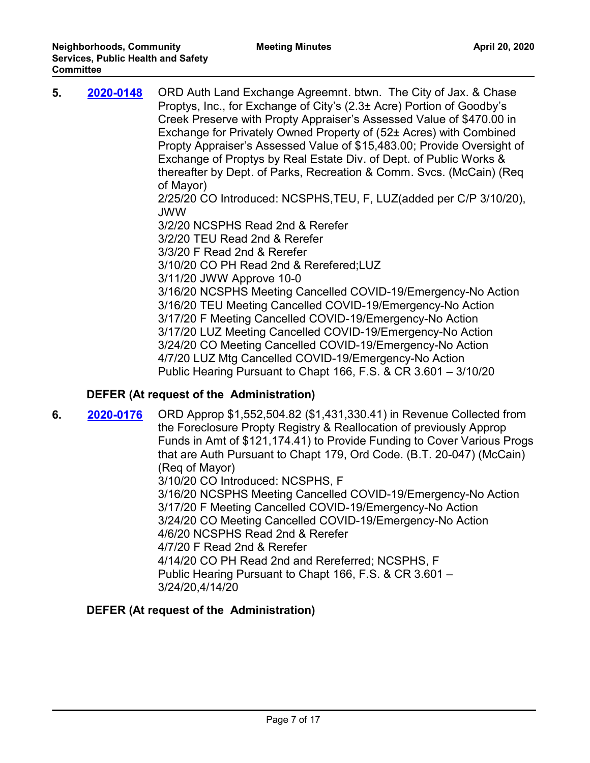| 5. | 2020-0148 | ORD Auth Land Exchange Agreemnt. btwn. The City of Jax. & Chase<br>Proptys, Inc., for Exchange of City's (2.3± Acre) Portion of Goodby's<br>Creek Preserve with Propty Appraiser's Assessed Value of \$470.00 in<br>Exchange for Privately Owned Property of (52± Acres) with Combined<br>Propty Appraiser's Assessed Value of \$15,483.00; Provide Oversight of<br>Exchange of Proptys by Real Estate Div. of Dept. of Public Works &<br>thereafter by Dept. of Parks, Recreation & Comm. Svcs. (McCain) (Req.<br>of Mayor)<br>2/25/20 CO Introduced: NCSPHS, TEU, F, LUZ (added per C/P 3/10/20),<br><b>JWW</b><br>3/2/20 NCSPHS Read 2nd & Rerefer<br>3/2/20 TEU Read 2nd & Rerefer<br>3/3/20 F Read 2nd & Rerefer<br>3/10/20 CO PH Read 2nd & Rerefered; LUZ<br>3/11/20 JWW Approve 10-0<br>3/16/20 NCSPHS Meeting Cancelled COVID-19/Emergency-No Action<br>3/16/20 TEU Meeting Cancelled COVID-19/Emergency-No Action<br>3/17/20 F Meeting Cancelled COVID-19/Emergency-No Action<br>3/17/20 LUZ Meeting Cancelled COVID-19/Emergency-No Action |
|----|-----------|-------------------------------------------------------------------------------------------------------------------------------------------------------------------------------------------------------------------------------------------------------------------------------------------------------------------------------------------------------------------------------------------------------------------------------------------------------------------------------------------------------------------------------------------------------------------------------------------------------------------------------------------------------------------------------------------------------------------------------------------------------------------------------------------------------------------------------------------------------------------------------------------------------------------------------------------------------------------------------------------------------------------------------------------------------|
|    |           | 3/24/20 CO Meeting Cancelled COVID-19/Emergency-No Action<br>4/7/20 LUZ Mtg Cancelled COVID-19/Emergency-No Action<br>Public Hearing Pursuant to Chapt 166, F.S. & CR 3.601 - 3/10/20                                                                                                                                                                                                                                                                                                                                                                                                                                                                                                                                                                                                                                                                                                                                                                                                                                                                 |

**6. 2020-0176** ORD Approp \$1,552,504.82 (\$1,431,330.41) in Revenue Collected from the Foreclosure Propty Registry & Reallocation of previously Approp Funds in Amt of \$121,174.41) to Provide Funding to Cover Various Progs that are Auth Pursuant to Chapt 179, Ord Code. (B.T. 20-047) (McCain) (Req of Mayor) 3/10/20 CO Introduced: NCSPHS, F 3/16/20 NCSPHS Meeting Cancelled COVID-19/Emergency-No Action 3/17/20 F Meeting Cancelled COVID-19/Emergency-No Action 3/24/20 CO Meeting Cancelled COVID-19/Emergency-No Action 4/6/20 NCSPHS Read 2nd & Rerefer 4/7/20 F Read 2nd & Rerefer **[2020-0176](http://jaxcityc.legistar.com/gateway.aspx?m=l&id=/matter.aspx?key=2243)**

4/14/20 CO PH Read 2nd and Rereferred; NCSPHS, F Public Hearing Pursuant to Chapt 166, F.S. & CR 3.601 – 3/24/20,4/14/20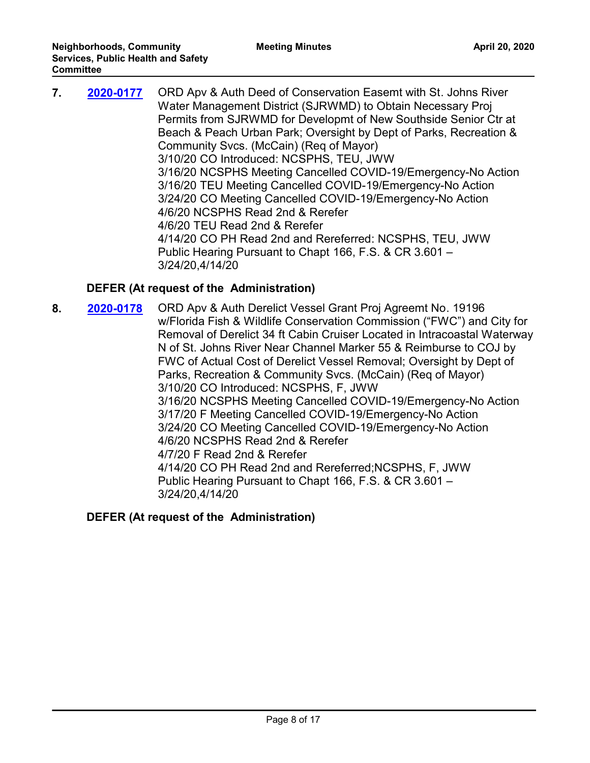| 7. | 2020-0177 | ORD Apv & Auth Deed of Conservation Easemt with St. Johns River<br>Water Management District (SJRWMD) to Obtain Necessary Proj<br>Permits from SJRWMD for Developmt of New Southside Senior Ctr at<br>Beach & Peach Urban Park; Oversight by Dept of Parks, Recreation &<br>Community Svcs. (McCain) (Req of Mayor)<br>3/10/20 CO Introduced: NCSPHS, TEU, JWW<br>3/16/20 NCSPHS Meeting Cancelled COVID-19/Emergency-No Action<br>3/16/20 TEU Meeting Cancelled COVID-19/Emergency-No Action<br>3/24/20 CO Meeting Cancelled COVID-19/Emergency-No Action<br>4/6/20 NCSPHS Read 2nd & Rerefer<br>4/6/20 TEU Read 2nd & Rerefer<br>4/14/20 CO PH Read 2nd and Rereferred: NCSPHS, TEU, JWW<br>Public Hearing Pursuant to Chapt 166, F.S. & CR 3.601 - |
|----|-----------|-------------------------------------------------------------------------------------------------------------------------------------------------------------------------------------------------------------------------------------------------------------------------------------------------------------------------------------------------------------------------------------------------------------------------------------------------------------------------------------------------------------------------------------------------------------------------------------------------------------------------------------------------------------------------------------------------------------------------------------------------------|
|    |           | 3/24/20,4/14/20                                                                                                                                                                                                                                                                                                                                                                                                                                                                                                                                                                                                                                                                                                                                       |

**8. 2020-0178** ORD Apv & Auth Derelict Vessel Grant Proj Agreemt No. 19196 w/Florida Fish & Wildlife Conservation Commission ("FWC") and City for Removal of Derelict 34 ft Cabin Cruiser Located in Intracoastal Waterway N of St. Johns River Near Channel Marker 55 & Reimburse to COJ by FWC of Actual Cost of Derelict Vessel Removal; Oversight by Dept of Parks, Recreation & Community Svcs. (McCain) (Req of Mayor) 3/10/20 CO Introduced: NCSPHS, F, JWW 3/16/20 NCSPHS Meeting Cancelled COVID-19/Emergency-No Action 3/17/20 F Meeting Cancelled COVID-19/Emergency-No Action 3/24/20 CO Meeting Cancelled COVID-19/Emergency-No Action 4/6/20 NCSPHS Read 2nd & Rerefer 4/7/20 F Read 2nd & Rerefer 4/14/20 CO PH Read 2nd and Rereferred;NCSPHS, F, JWW Public Hearing Pursuant to Chapt 166, F.S. & CR 3.601 – 3/24/20,4/14/20 **[2020-0178](http://jaxcityc.legistar.com/gateway.aspx?m=l&id=/matter.aspx?key=2245)**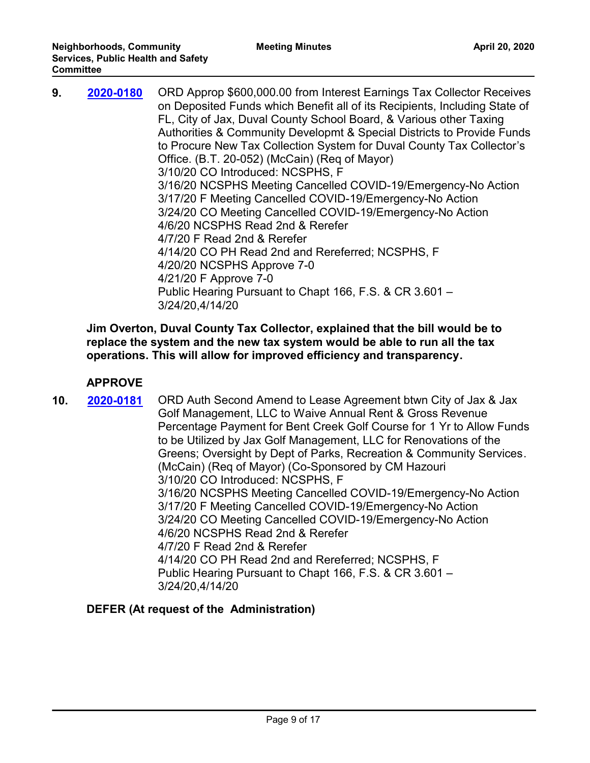| 9. | 2020-0180 | ORD Approp \$600,000.00 from Interest Earnings Tax Collector Receives<br>on Deposited Funds which Benefit all of its Recipients, Including State of<br>FL, City of Jax, Duval County School Board, & Various other Taxing<br>Authorities & Community Developmt & Special Districts to Provide Funds<br>to Procure New Tax Collection System for Duval County Tax Collector's<br>Office. (B.T. 20-052) (McCain) (Req of Mayor)<br>3/10/20 CO Introduced: NCSPHS, F<br>3/16/20 NCSPHS Meeting Cancelled COVID-19/Emergency-No Action<br>3/17/20 F Meeting Cancelled COVID-19/Emergency-No Action<br>3/24/20 CO Meeting Cancelled COVID-19/Emergency-No Action<br>4/6/20 NCSPHS Read 2nd & Rerefer<br>4/7/20 F Read 2nd & Rerefer<br>4/14/20 CO PH Read 2nd and Rereferred; NCSPHS, F<br>4/20/20 NCSPHS Approve 7-0<br>4/21/20 F Approve 7-0<br>Public Hearing Pursuant to Chapt 166, F.S. & CR 3.601 - |
|----|-----------|------------------------------------------------------------------------------------------------------------------------------------------------------------------------------------------------------------------------------------------------------------------------------------------------------------------------------------------------------------------------------------------------------------------------------------------------------------------------------------------------------------------------------------------------------------------------------------------------------------------------------------------------------------------------------------------------------------------------------------------------------------------------------------------------------------------------------------------------------------------------------------------------------|
|    |           | 3/24/20,4/14/20                                                                                                                                                                                                                                                                                                                                                                                                                                                                                                                                                                                                                                                                                                                                                                                                                                                                                      |

**Jim Overton, Duval County Tax Collector, explained that the bill would be to replace the system and the new tax system would be able to run all the tax operations. This will allow for improved efficiency and transparency.** 

### **APPROVE**

**10. 2020-0181** ORD Auth Second Amend to Lease Agreement btwn City of Jax & Jax Golf Management, LLC to Waive Annual Rent & Gross Revenue Percentage Payment for Bent Creek Golf Course for 1 Yr to Allow Funds to be Utilized by Jax Golf Management, LLC for Renovations of the Greens; Oversight by Dept of Parks, Recreation & Community Services. (McCain) (Req of Mayor) (Co-Sponsored by CM Hazouri 3/10/20 CO Introduced: NCSPHS, F 3/16/20 NCSPHS Meeting Cancelled COVID-19/Emergency-No Action 3/17/20 F Meeting Cancelled COVID-19/Emergency-No Action 3/24/20 CO Meeting Cancelled COVID-19/Emergency-No Action 4/6/20 NCSPHS Read 2nd & Rerefer 4/7/20 F Read 2nd & Rerefer 4/14/20 CO PH Read 2nd and Rereferred; NCSPHS, F Public Hearing Pursuant to Chapt 166, F.S. & CR 3.601 – 3/24/20,4/14/20 **[2020-0181](http://jaxcityc.legistar.com/gateway.aspx?m=l&id=/matter.aspx?key=2248)**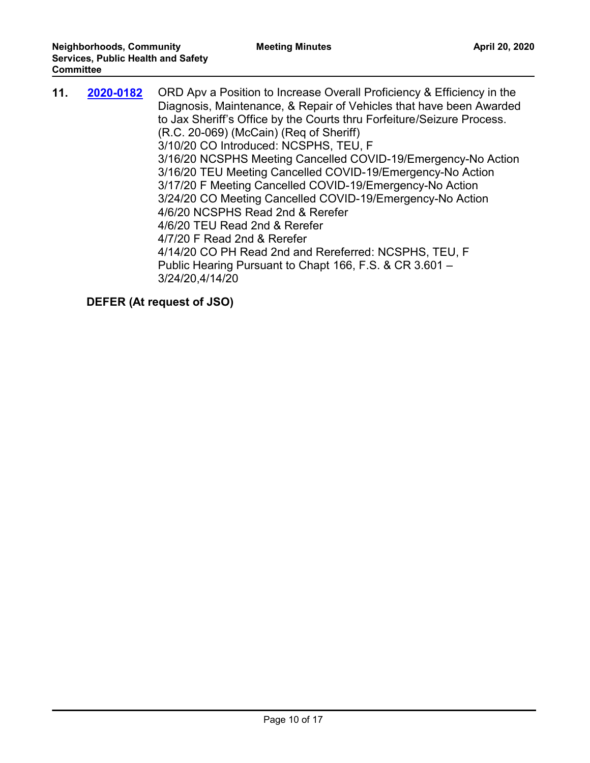| 11. | 2020-0182 | ORD Apv a Position to Increase Overall Proficiency & Efficiency in the<br>Diagnosis, Maintenance, & Repair of Vehicles that have been Awarded<br>to Jax Sheriff's Office by the Courts thru Forfeiture/Seizure Process.<br>(R.C. 20-069) (McCain) (Req of Sheriff)<br>3/10/20 CO Introduced: NCSPHS, TEU, F<br>3/16/20 NCSPHS Meeting Cancelled COVID-19/Emergency-No Action<br>3/16/20 TEU Meeting Cancelled COVID-19/Emergency-No Action<br>3/17/20 F Meeting Cancelled COVID-19/Emergency-No Action<br>3/24/20 CO Meeting Cancelled COVID-19/Emergency-No Action<br>4/6/20 NCSPHS Read 2nd & Rerefer<br>4/6/20 TEU Read 2nd & Rerefer<br>4/7/20 F Read 2nd & Rerefer<br>4/14/20 CO PH Read 2nd and Rereferred: NCSPHS, TEU, F<br>Public Hearing Pursuant to Chapt 166, F.S. & CR 3.601 -<br>3/24/20,4/14/20 |
|-----|-----------|----------------------------------------------------------------------------------------------------------------------------------------------------------------------------------------------------------------------------------------------------------------------------------------------------------------------------------------------------------------------------------------------------------------------------------------------------------------------------------------------------------------------------------------------------------------------------------------------------------------------------------------------------------------------------------------------------------------------------------------------------------------------------------------------------------------|
|-----|-----------|----------------------------------------------------------------------------------------------------------------------------------------------------------------------------------------------------------------------------------------------------------------------------------------------------------------------------------------------------------------------------------------------------------------------------------------------------------------------------------------------------------------------------------------------------------------------------------------------------------------------------------------------------------------------------------------------------------------------------------------------------------------------------------------------------------------|

**DEFER (At request of JSO)**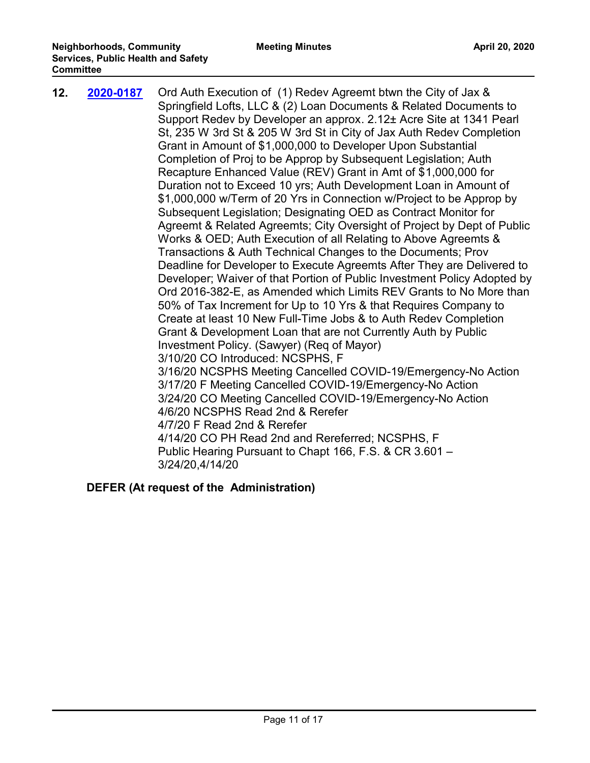| 12. | 2020-0187 | Ord Auth Execution of (1) Redev Agreemt btwn the City of Jax &<br>Springfield Lofts, LLC & (2) Loan Documents & Related Documents to<br>Support Redev by Developer an approx. 2.12± Acre Site at 1341 Pearl<br>St, 235 W 3rd St & 205 W 3rd St in City of Jax Auth Redev Completion<br>Grant in Amount of \$1,000,000 to Developer Upon Substantial<br>Completion of Proj to be Approp by Subsequent Legislation; Auth<br>Recapture Enhanced Value (REV) Grant in Amt of \$1,000,000 for<br>Duration not to Exceed 10 yrs; Auth Development Loan in Amount of<br>\$1,000,000 w/Term of 20 Yrs in Connection w/Project to be Approp by<br>Subsequent Legislation; Designating OED as Contract Monitor for<br>Agreemt & Related Agreemts; City Oversight of Project by Dept of Public<br>Works & OED; Auth Execution of all Relating to Above Agreemts &<br>Transactions & Auth Technical Changes to the Documents; Prov<br>Deadline for Developer to Execute Agreemts After They are Delivered to<br>Developer; Waiver of that Portion of Public Investment Policy Adopted by<br>Ord 2016-382-E, as Amended which Limits REV Grants to No More than<br>50% of Tax Increment for Up to 10 Yrs & that Requires Company to<br>Create at least 10 New Full-Time Jobs & to Auth Redev Completion<br>Grant & Development Loan that are not Currently Auth by Public<br>Investment Policy. (Sawyer) (Req of Mayor)<br>3/10/20 CO Introduced: NCSPHS, F<br>3/16/20 NCSPHS Meeting Cancelled COVID-19/Emergency-No Action<br>3/17/20 F Meeting Cancelled COVID-19/Emergency-No Action<br>3/24/20 CO Meeting Cancelled COVID-19/Emergency-No Action<br>4/6/20 NCSPHS Read 2nd & Rerefer<br>4/7/20 F Read 2nd & Rerefer<br>4/14/20 CO PH Read 2nd and Rereferred; NCSPHS, F<br>Public Hearing Pursuant to Chapt 166, F.S. & CR 3.601 -<br>3/24/20,4/14/20 |
|-----|-----------|-----------------------------------------------------------------------------------------------------------------------------------------------------------------------------------------------------------------------------------------------------------------------------------------------------------------------------------------------------------------------------------------------------------------------------------------------------------------------------------------------------------------------------------------------------------------------------------------------------------------------------------------------------------------------------------------------------------------------------------------------------------------------------------------------------------------------------------------------------------------------------------------------------------------------------------------------------------------------------------------------------------------------------------------------------------------------------------------------------------------------------------------------------------------------------------------------------------------------------------------------------------------------------------------------------------------------------------------------------------------------------------------------------------------------------------------------------------------------------------------------------------------------------------------------------------------------------------------------------------------------------------------------------------------------------------------------------------------------------------------------------------------------------------------------------------------------------------------------|
|-----|-----------|-----------------------------------------------------------------------------------------------------------------------------------------------------------------------------------------------------------------------------------------------------------------------------------------------------------------------------------------------------------------------------------------------------------------------------------------------------------------------------------------------------------------------------------------------------------------------------------------------------------------------------------------------------------------------------------------------------------------------------------------------------------------------------------------------------------------------------------------------------------------------------------------------------------------------------------------------------------------------------------------------------------------------------------------------------------------------------------------------------------------------------------------------------------------------------------------------------------------------------------------------------------------------------------------------------------------------------------------------------------------------------------------------------------------------------------------------------------------------------------------------------------------------------------------------------------------------------------------------------------------------------------------------------------------------------------------------------------------------------------------------------------------------------------------------------------------------------------------------|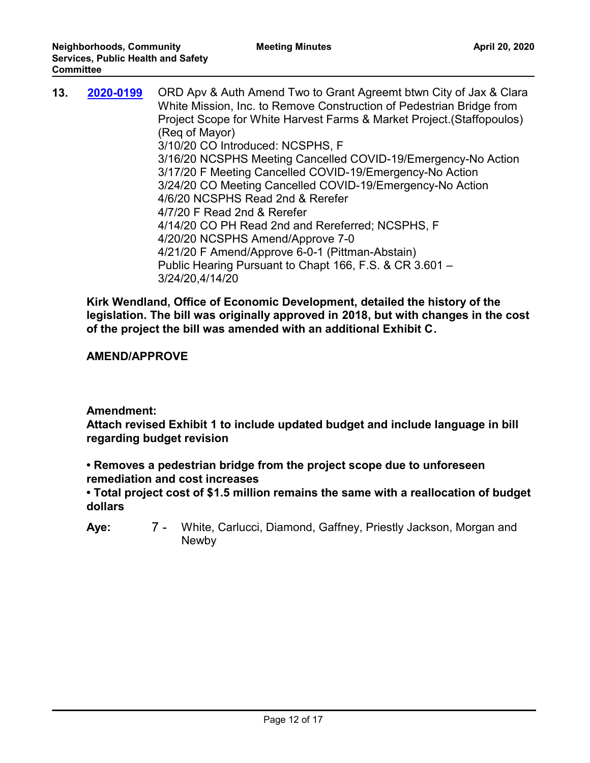| 13. | 2020-0199 | ORD Apv & Auth Amend Two to Grant Agreemt btwn City of Jax & Clara<br>White Mission, Inc. to Remove Construction of Pedestrian Bridge from<br>Project Scope for White Harvest Farms & Market Project. (Staffopoulos)<br>(Req of Mayor)<br>3/10/20 CO Introduced: NCSPHS, F<br>3/16/20 NCSPHS Meeting Cancelled COVID-19/Emergency-No Action<br>3/17/20 F Meeting Cancelled COVID-19/Emergency-No Action<br>3/24/20 CO Meeting Cancelled COVID-19/Emergency-No Action<br>4/6/20 NCSPHS Read 2nd & Rerefer<br>4/7/20 F Read 2nd & Rerefer<br>4/14/20 CO PH Read 2nd and Rereferred; NCSPHS, F<br>4/20/20 NCSPHS Amend/Approve 7-0<br>4/21/20 F Amend/Approve 6-0-1 (Pittman-Abstain) |
|-----|-----------|------------------------------------------------------------------------------------------------------------------------------------------------------------------------------------------------------------------------------------------------------------------------------------------------------------------------------------------------------------------------------------------------------------------------------------------------------------------------------------------------------------------------------------------------------------------------------------------------------------------------------------------------------------------------------------|
|     |           | Public Hearing Pursuant to Chapt 166, F.S. & CR 3.601 -<br>3/24/20,4/14/20                                                                                                                                                                                                                                                                                                                                                                                                                                                                                                                                                                                                         |

**Kirk Wendland, Office of Economic Development, detailed the history of the legislation. The bill was originally approved in 2018, but with changes in the cost of the project the bill was amended with an additional Exhibit C.** 

# **AMEND/APPROVE**

# **Amendment:**

**Attach revised Exhibit 1 to include updated budget and include language in bill regarding budget revision**

**• Removes a pedestrian bridge from the project scope due to unforeseen remediation and cost increases**

**• Total project cost of \$1.5 million remains the same with a reallocation of budget dollars**

7 - White, Carlucci, Diamond, Gaffney, Priestly Jackson, Morgan and Newby **Aye:**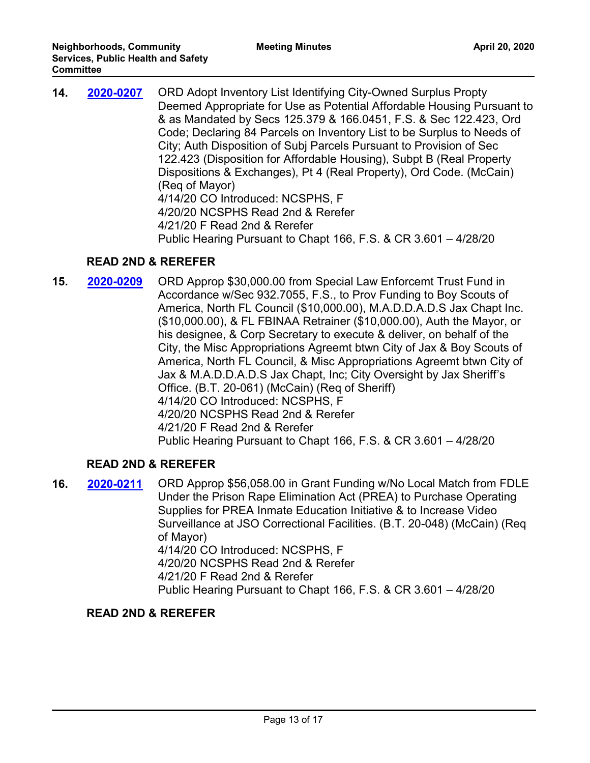| 14. | 2020-0207 | ORD Adopt Inventory List Identifying City-Owned Surplus Propty<br>Deemed Appropriate for Use as Potential Affordable Housing Pursuant to<br>& as Mandated by Secs 125.379 & 166.0451, F.S. & Sec 122.423, Ord |
|-----|-----------|---------------------------------------------------------------------------------------------------------------------------------------------------------------------------------------------------------------|
|     |           | Code; Declaring 84 Parcels on Inventory List to be Surplus to Needs of                                                                                                                                        |
|     |           | City; Auth Disposition of Subj Parcels Pursuant to Provision of Sec                                                                                                                                           |
|     |           | 122.423 (Disposition for Affordable Housing), Subpt B (Real Property                                                                                                                                          |
|     |           | Dispositions & Exchanges), Pt 4 (Real Property), Ord Code. (McCain)                                                                                                                                           |
|     |           | (Reg of Mayor)                                                                                                                                                                                                |
|     |           | 4/14/20 CO Introduced: NCSPHS, F                                                                                                                                                                              |
|     |           | 4/20/20 NCSPHS Read 2nd & Rerefer                                                                                                                                                                             |
|     |           | 4/21/20 F Read 2nd & Rerefer                                                                                                                                                                                  |
|     |           | Public Hearing Pursuant to Chapt 166, F.S. & CR 3.601 - 4/28/20                                                                                                                                               |

# **READ 2ND & REREFER**

**15. 2020-0209** ORD Approp \$30,000.00 from Special Law Enforcemt Trust Fund in Accordance w/Sec 932.7055, F.S., to Prov Funding to Boy Scouts of America, North FL Council (\$10,000.00), M.A.D.D.A.D.S Jax Chapt Inc. (\$10,000.00), & FL FBINAA Retrainer (\$10,000.00), Auth the Mayor, or his designee, & Corp Secretary to execute & deliver, on behalf of the City, the Misc Appropriations Agreemt btwn City of Jax & Boy Scouts of America, North FL Council, & Misc Appropriations Agreemt btwn City of Jax & M.A.D.D.A.D.S Jax Chapt, Inc; City Oversight by Jax Sheriff's Office. (B.T. 20-061) (McCain) (Req of Sheriff) 4/14/20 CO Introduced: NCSPHS, F 4/20/20 NCSPHS Read 2nd & Rerefer 4/21/20 F Read 2nd & Rerefer Public Hearing Pursuant to Chapt 166, F.S. & CR 3.601 – 4/28/20 **[2020-0209](http://jaxcityc.legistar.com/gateway.aspx?m=l&id=/matter.aspx?key=2282)**

# **READ 2ND & REREFER**

**16. 2020-0211** ORD Approp \$56,058.00 in Grant Funding w/No Local Match from FDLE Under the Prison Rape Elimination Act (PREA) to Purchase Operating Supplies for PREA Inmate Education Initiative & to Increase Video Surveillance at JSO Correctional Facilities. (B.T. 20-048) (McCain) (Req of Mayor) 4/14/20 CO Introduced: NCSPHS, F 4/20/20 NCSPHS Read 2nd & Rerefer 4/21/20 F Read 2nd & Rerefer Public Hearing Pursuant to Chapt 166, F.S. & CR 3.601 – 4/28/20 **[2020-0211](http://jaxcityc.legistar.com/gateway.aspx?m=l&id=/matter.aspx?key=2284)**

#### **READ 2ND & REREFER**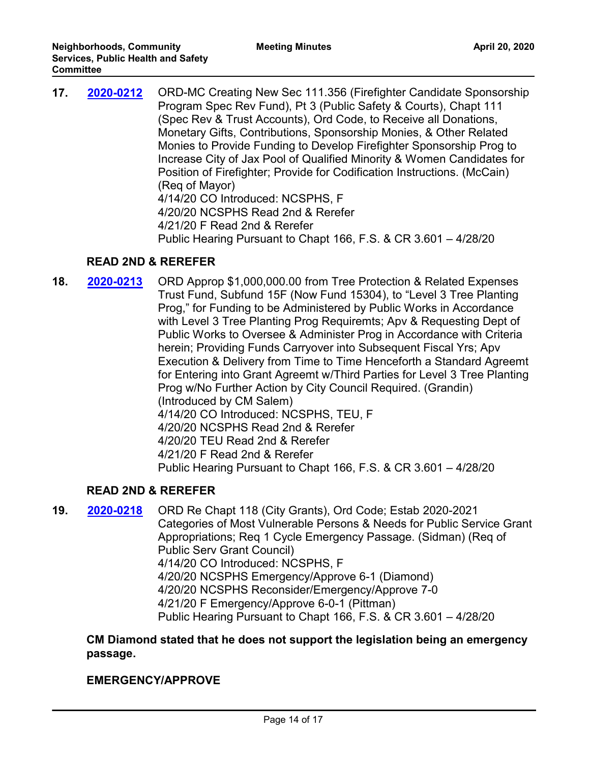| 17. | 2020-0212 | ORD-MC Creating New Sec 111.356 (Firefighter Candidate Sponsorship<br>Program Spec Rev Fund), Pt 3 (Public Safety & Courts), Chapt 111<br>(Spec Rev & Trust Accounts), Ord Code, to Receive all Donations,<br>Monetary Gifts, Contributions, Sponsorship Monies, & Other Related<br>Monies to Provide Funding to Develop Firefighter Sponsorship Prog to<br>Increase City of Jax Pool of Qualified Minority & Women Candidates for |
|-----|-----------|------------------------------------------------------------------------------------------------------------------------------------------------------------------------------------------------------------------------------------------------------------------------------------------------------------------------------------------------------------------------------------------------------------------------------------|
|     |           | Position of Firefighter; Provide for Codification Instructions. (McCain)<br>(Reg of Mayor)                                                                                                                                                                                                                                                                                                                                         |
|     |           | 4/14/20 CO Introduced: NCSPHS, F                                                                                                                                                                                                                                                                                                                                                                                                   |
|     |           | 4/20/20 NCSPHS Read 2nd & Rerefer                                                                                                                                                                                                                                                                                                                                                                                                  |
|     |           | 4/21/20 F Read 2nd & Rerefer                                                                                                                                                                                                                                                                                                                                                                                                       |
|     |           | Public Hearing Pursuant to Chapt 166, F.S. & CR 3.601 - 4/28/20                                                                                                                                                                                                                                                                                                                                                                    |

# **READ 2ND & REREFER**

**18. 2020-0213** ORD Approp \$1,000,000.00 from Tree Protection & Related Expenses Trust Fund, Subfund 15F (Now Fund 15304), to "Level 3 Tree Planting Prog," for Funding to be Administered by Public Works in Accordance with Level 3 Tree Planting Prog Requiremts; Apv & Requesting Dept of Public Works to Oversee & Administer Prog in Accordance with Criteria herein; Providing Funds Carryover into Subsequent Fiscal Yrs; Apv Execution & Delivery from Time to Time Henceforth a Standard Agreemt for Entering into Grant Agreemt w/Third Parties for Level 3 Tree Planting Prog w/No Further Action by City Council Required. (Grandin) (Introduced by CM Salem) 4/14/20 CO Introduced: NCSPHS, TEU, F 4/20/20 NCSPHS Read 2nd & Rerefer 4/20/20 TEU Read 2nd & Rerefer 4/21/20 F Read 2nd & Rerefer Public Hearing Pursuant to Chapt 166, F.S. & CR 3.601 – 4/28/20 **[2020-0213](http://jaxcityc.legistar.com/gateway.aspx?m=l&id=/matter.aspx?key=2286)**

# **READ 2ND & REREFER**

**19. 2020-0218** ORD Re Chapt 118 (City Grants), Ord Code; Estab 2020-2021 Categories of Most Vulnerable Persons & Needs for Public Service Grant Appropriations; Req 1 Cycle Emergency Passage. (Sidman) (Req of Public Serv Grant Council) 4/14/20 CO Introduced: NCSPHS, F 4/20/20 NCSPHS Emergency/Approve 6-1 (Diamond) 4/20/20 NCSPHS Reconsider/Emergency/Approve 7-0 4/21/20 F Emergency/Approve 6-0-1 (Pittman) Public Hearing Pursuant to Chapt 166, F.S. & CR 3.601 – 4/28/20 **[2020-0218](http://jaxcityc.legistar.com/gateway.aspx?m=l&id=/matter.aspx?key=2291)**

**CM Diamond stated that he does not support the legislation being an emergency passage.** 

#### **EMERGENCY/APPROVE**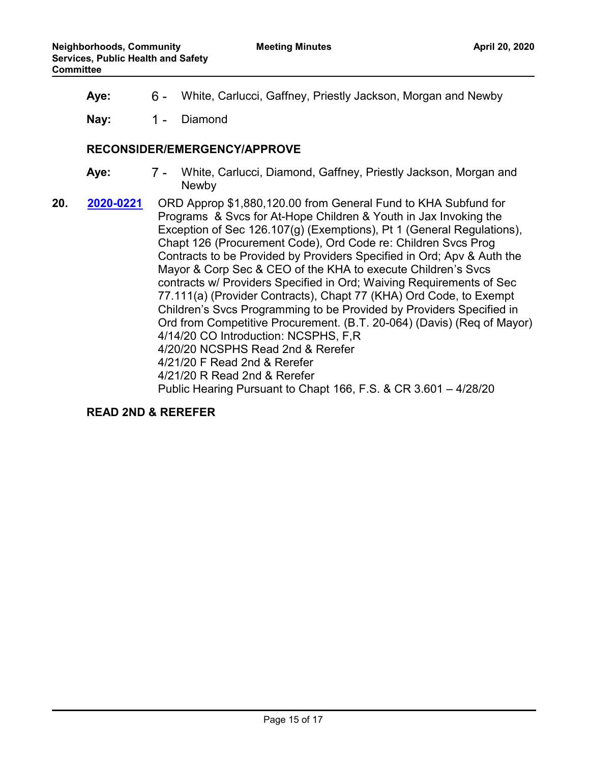**Aye:** 6 - White, Carlucci, Gaffney, Priestly Jackson, Morgan and Newby

Nay: 1 - Diamond

#### **RECONSIDER/EMERGENCY/APPROVE**

- 7 White, Carlucci, Diamond, Gaffney, Priestly Jackson, Morgan and Newby **Aye:**
- **20. 2020-0221** ORD Approp \$1,880,120.00 from General Fund to KHA Subfund for Programs & Svcs for At-Hope Children & Youth in Jax Invoking the Exception of Sec 126.107(g) (Exemptions), Pt 1 (General Regulations), Chapt 126 (Procurement Code), Ord Code re: Children Svcs Prog Contracts to be Provided by Providers Specified in Ord; Apv & Auth the Mayor & Corp Sec & CEO of the KHA to execute Children's Svcs contracts w/ Providers Specified in Ord; Waiving Requirements of Sec 77.111(a) (Provider Contracts), Chapt 77 (KHA) Ord Code, to Exempt Children's Svcs Programming to be Provided by Providers Specified in Ord from Competitive Procurement. (B.T. 20-064) (Davis) (Req of Mayor) 4/14/20 CO Introduction: NCSPHS, F,R 4/20/20 NCSPHS Read 2nd & Rerefer 4/21/20 F Read 2nd & Rerefer 4/21/20 R Read 2nd & Rerefer Public Hearing Pursuant to Chapt 166, F.S. & CR 3.601 – 4/28/20 **[2020-0221](http://jaxcityc.legistar.com/gateway.aspx?m=l&id=/matter.aspx?key=2294)**

**READ 2ND & REREFER**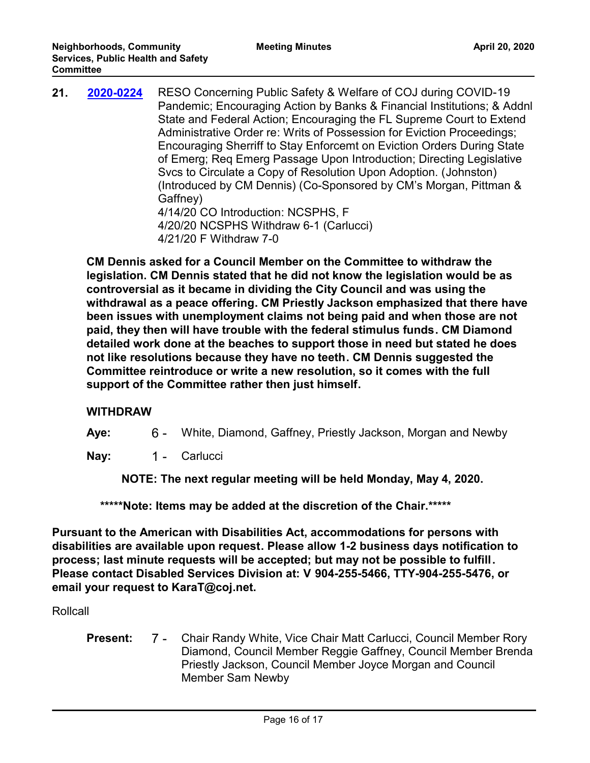| 21. | 2020-0224 | RESO Concerning Public Safety & Welfare of COJ during COVID-19<br>Pandemic; Encouraging Action by Banks & Financial Institutions; & Addnl<br>State and Federal Action; Encouraging the FL Supreme Court to Extend<br>Administrative Order re: Writs of Possession for Eviction Proceedings;<br>Encouraging Sherriff to Stay Enforcemt on Eviction Orders During State<br>of Emerg; Req Emerg Passage Upon Introduction; Directing Legislative<br>Svcs to Circulate a Copy of Resolution Upon Adoption. (Johnston)<br>(Introduced by CM Dennis) (Co-Sponsored by CM's Morgan, Pittman &<br>Gaffney) |
|-----|-----------|----------------------------------------------------------------------------------------------------------------------------------------------------------------------------------------------------------------------------------------------------------------------------------------------------------------------------------------------------------------------------------------------------------------------------------------------------------------------------------------------------------------------------------------------------------------------------------------------------|
|     |           | 4/14/20 CO Introduction: NCSPHS, F                                                                                                                                                                                                                                                                                                                                                                                                                                                                                                                                                                 |
|     |           | 4/20/20 NCSPHS Withdraw 6-1 (Carlucci)<br>4/21/20 F Withdraw 7-0                                                                                                                                                                                                                                                                                                                                                                                                                                                                                                                                   |

**CM Dennis asked for a Council Member on the Committee to withdraw the legislation. CM Dennis stated that he did not know the legislation would be as controversial as it became in dividing the City Council and was using the withdrawal as a peace offering. CM Priestly Jackson emphasized that there have been issues with unemployment claims not being paid and when those are not paid, they then will have trouble with the federal stimulus funds. CM Diamond detailed work done at the beaches to support those in need but stated he does not like resolutions because they have no teeth. CM Dennis suggested the Committee reintroduce or write a new resolution, so it comes with the full support of the Committee rather then just himself.** 

#### **WITHDRAW**

**Aye:** 6 - White, Diamond, Gaffney, Priestly Jackson, Morgan and Newby

Nay: 1 - Carlucci

 **NOTE: The next regular meeting will be held Monday, May 4, 2020.**

 **\*\*\*\*\*Note: Items may be added at the discretion of the Chair.\*\*\*\*\***

**Pursuant to the American with Disabilities Act, accommodations for persons with disabilities are available upon request. Please allow 1-2 business days notification to process; last minute requests will be accepted; but may not be possible to fulfill. Please contact Disabled Services Division at: V 904-255-5466, TTY-904-255-5476, or email your request to KaraT@coj.net.**

# Rollcall

7 - Chair Randy White, Vice Chair Matt Carlucci, Council Member Rory Diamond, Council Member Reggie Gaffney, Council Member Brenda Priestly Jackson, Council Member Joyce Morgan and Council Member Sam Newby **Present:**